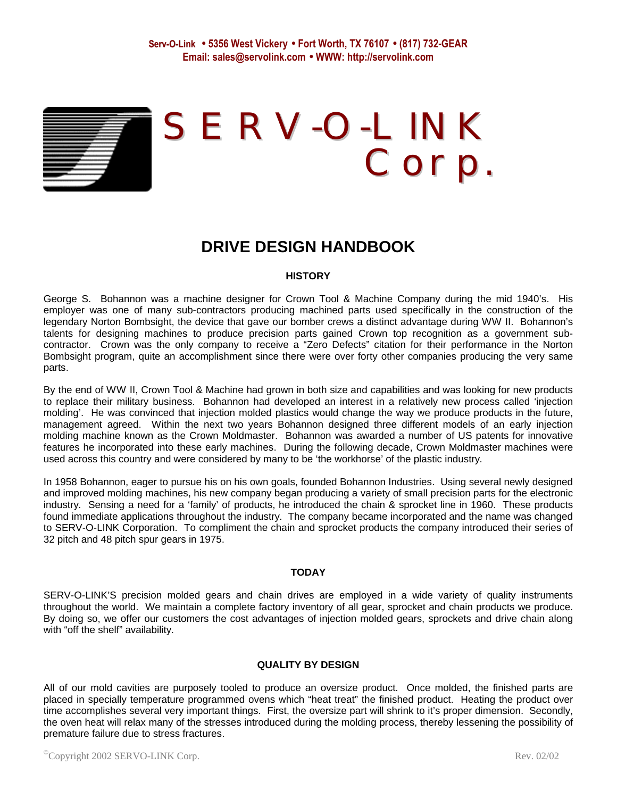

# SERV-O-LINK Corp.

# **DRIVE DESIGN HANDBOOK**

# **HISTORY**

George S. Bohannon was a machine designer for Crown Tool & Machine Company during the mid 1940's. His employer was one of many sub-contractors producing machined parts used specifically in the construction of the legendary Norton Bombsight, the device that gave our bomber crews a distinct advantage during WW II. Bohannon's talents for designing machines to produce precision parts gained Crown top recognition as a government subcontractor. Crown was the only company to receive a "Zero Defects" citation for their performance in the Norton Bombsight program, quite an accomplishment since there were over forty other companies producing the very same parts.

By the end of WW II, Crown Tool & Machine had grown in both size and capabilities and was looking for new products to replace their military business. Bohannon had developed an interest in a relatively new process called 'injection molding'. He was convinced that injection molded plastics would change the way we produce products in the future, management agreed. Within the next two years Bohannon designed three different models of an early injection molding machine known as the Crown Moldmaster. Bohannon was awarded a number of US patents for innovative features he incorporated into these early machines. During the following decade, Crown Moldmaster machines were used across this country and were considered by many to be 'the workhorse' of the plastic industry.

In 1958 Bohannon, eager to pursue his on his own goals, founded Bohannon Industries. Using several newly designed and improved molding machines, his new company began producing a variety of small precision parts for the electronic industry. Sensing a need for a 'family' of products, he introduced the chain & sprocket line in 1960. These products found immediate applications throughout the industry. The company became incorporated and the name was changed to SERV-O-LINK Corporation. To compliment the chain and sprocket products the company introduced their series of 32 pitch and 48 pitch spur gears in 1975.

# **TODAY**

SERV-O-LINK'S precision molded gears and chain drives are employed in a wide variety of quality instruments throughout the world. We maintain a complete factory inventory of all gear, sprocket and chain products we produce. By doing so, we offer our customers the cost advantages of injection molded gears, sprockets and drive chain along with "off the shelf" availability.

# **QUALITY BY DESIGN**

All of our mold cavities are purposely tooled to produce an oversize product. Once molded, the finished parts are placed in specially temperature programmed ovens which "heat treat" the finished product. Heating the product over time accomplishes several very important things. First, the oversize part will shrink to it's proper dimension. Secondly, the oven heat will relax many of the stresses introduced during the molding process, thereby lessening the possibility of premature failure due to stress fractures.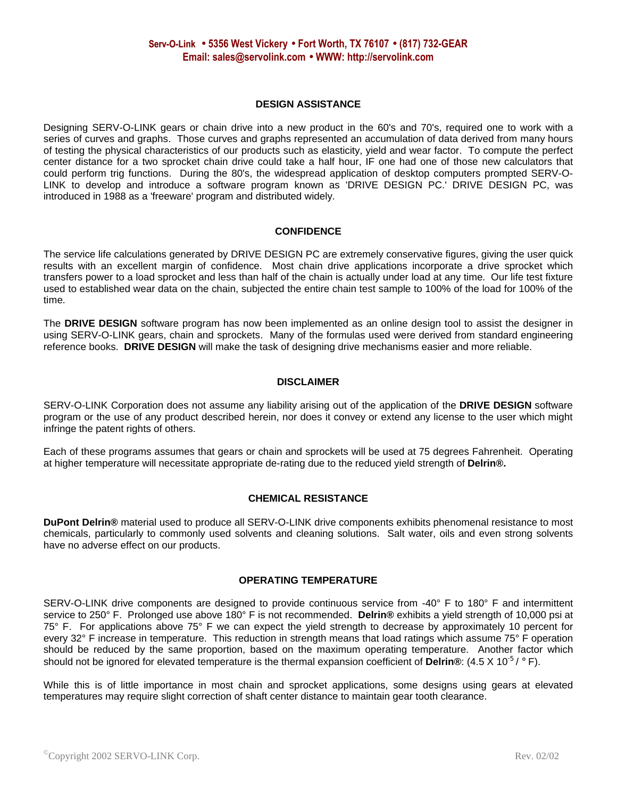# **DESIGN ASSISTANCE**

Designing SERV-O-LINK gears or chain drive into a new product in the 60's and 70's, required one to work with a series of curves and graphs. Those curves and graphs represented an accumulation of data derived from many hours of testing the physical characteristics of our products such as elasticity, yield and wear factor. To compute the perfect center distance for a two sprocket chain drive could take a half hour, IF one had one of those new calculators that could perform trig functions. During the 80's, the widespread application of desktop computers prompted SERV-O-LINK to develop and introduce a software program known as 'DRIVE DESIGN PC.' DRIVE DESIGN PC, was introduced in 1988 as a 'freeware' program and distributed widely.

# **CONFIDENCE**

The service life calculations generated by DRIVE DESIGN PC are extremely conservative figures, giving the user quick results with an excellent margin of confidence. Most chain drive applications incorporate a drive sprocket which transfers power to a load sprocket and less than half of the chain is actually under load at any time. Our life test fixture used to established wear data on the chain, subjected the entire chain test sample to 100% of the load for 100% of the time.

The **DRIVE DESIGN** software program has now been implemented as an online design tool to assist the designer in using SERV-O-LINK gears, chain and sprockets. Many of the formulas used were derived from standard engineering reference books. **DRIVE DESIGN** will make the task of designing drive mechanisms easier and more reliable.

# **DISCLAIMER**

SERV-O-LINK Corporation does not assume any liability arising out of the application of the **DRIVE DESIGN** software program or the use of any product described herein, nor does it convey or extend any license to the user which might infringe the patent rights of others.

Each of these programs assumes that gears or chain and sprockets will be used at 75 degrees Fahrenheit. Operating at higher temperature will necessitate appropriate de-rating due to the reduced yield strength of **Delrin®.**

# **CHEMICAL RESISTANCE**

**DuPont Delrin®** material used to produce all SERV-O-LINK drive components exhibits phenomenal resistance to most chemicals, particularly to commonly used solvents and cleaning solutions. Salt water, oils and even strong solvents have no adverse effect on our products.

# **OPERATING TEMPERATURE**

SERV-O-LINK drive components are designed to provide continuous service from -40° F to 180° F and intermittent service to 250° F. Prolonged use above 180° F is not recommended. **Delrin®** exhibits a yield strength of 10,000 psi at 75° F. For applications above 75° F we can expect the yield strength to decrease by approximately 10 percent for every 32° F increase in temperature. This reduction in strength means that load ratings which assume 75° F operation should be reduced by the same proportion, based on the maximum operating temperature. Another factor which should not be ignored for elevated temperature is the thermal expansion coefficient of Delrin®: (4.5 X 10<sup>-5</sup> / °F).

While this is of little importance in most chain and sprocket applications, some designs using gears at elevated temperatures may require slight correction of shaft center distance to maintain gear tooth clearance.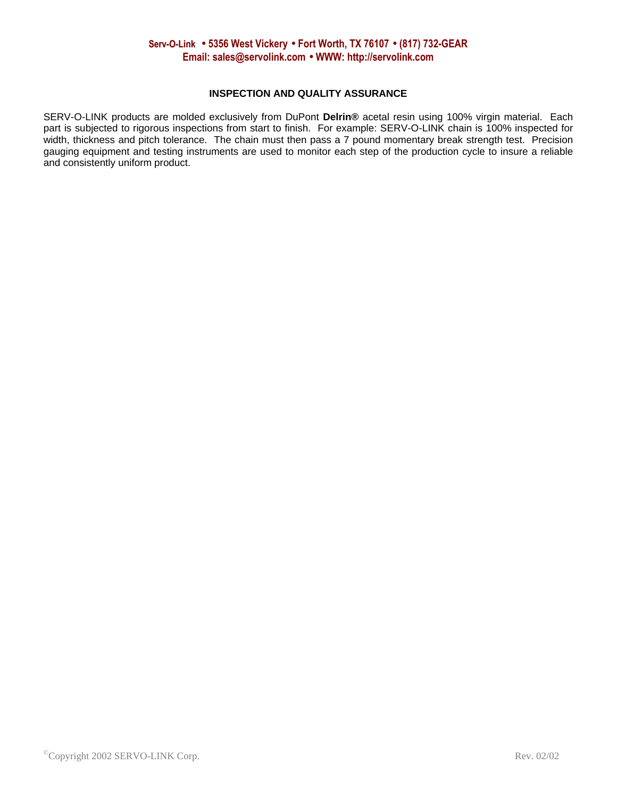# **INSPECTION AND QUALITY ASSURANCE**

SERV-O-LINK products are molded exclusively from DuPont **Delrin®** acetal resin using 100% virgin material. Each part is subjected to rigorous inspections from start to finish. For example: SERV-O-LINK chain is 100% inspected for width, thickness and pitch tolerance. The chain must then pass a 7 pound momentary break strength test. Precision gauging equipment and testing instruments are used to monitor each step of the production cycle to insure a reliable and consistently uniform product.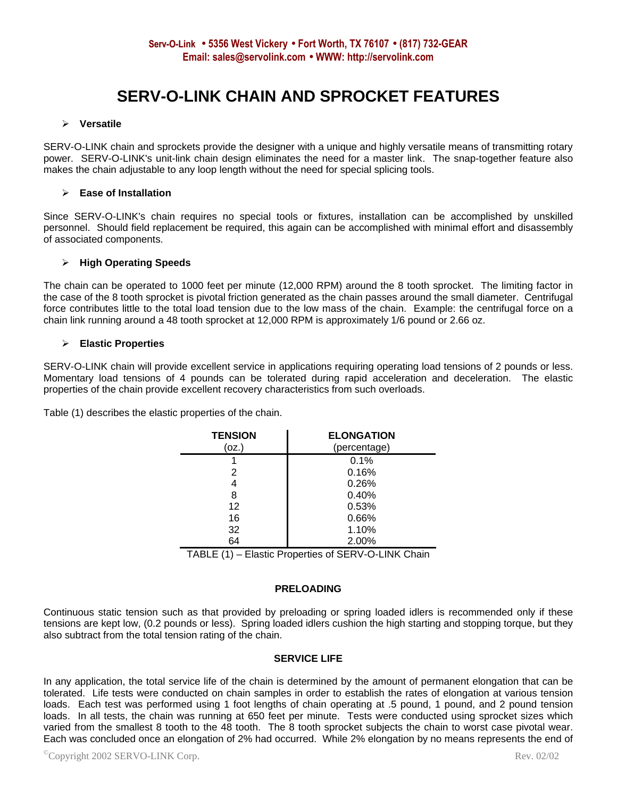# **SERV-O-LINK CHAIN AND SPROCKET FEATURES**

# ÿ **Versatile**

SERV-O-LINK chain and sprockets provide the designer with a unique and highly versatile means of transmitting rotary power. SERV-O-LINK's unit-link chain design eliminates the need for a master link. The snap-together feature also makes the chain adjustable to any loop length without the need for special splicing tools.

# ÿ **Ease of Installation**

Since SERV-O-LINK's chain requires no special tools or fixtures, installation can be accomplished by unskilled personnel. Should field replacement be required, this again can be accomplished with minimal effort and disassembly of associated components.

# ÿ **High Operating Speeds**

The chain can be operated to 1000 feet per minute (12,000 RPM) around the 8 tooth sprocket. The limiting factor in the case of the 8 tooth sprocket is pivotal friction generated as the chain passes around the small diameter. Centrifugal force contributes little to the total load tension due to the low mass of the chain. Example: the centrifugal force on a chain link running around a 48 tooth sprocket at 12,000 RPM is approximately 1/6 pound or 2.66 oz.

# ÿ **Elastic Properties**

SERV-O-LINK chain will provide excellent service in applications requiring operating load tensions of 2 pounds or less. Momentary load tensions of 4 pounds can be tolerated during rapid acceleration and deceleration. The elastic properties of the chain provide excellent recovery characteristics from such overloads.

Table (1) describes the elastic properties of the chain.

| <b>TENSION</b> | <b>ELONGATION</b> |
|----------------|-------------------|
| (oz.)          | (percentage)      |
|                | 0.1%              |
| 2              | 0.16%             |
| 4              | 0.26%             |
| 8              | 0.40%             |
| 12             | 0.53%             |
| 16             | 0.66%             |
| 32             | 1.10%             |
| 64             | 2.00%             |

TABLE (1) – Elastic Properties of SERV-O-LINK Chain

# **PRELOADING**

Continuous static tension such as that provided by preloading or spring loaded idlers is recommended only if these tensions are kept low, (0.2 pounds or less). Spring loaded idlers cushion the high starting and stopping torque, but they also subtract from the total tension rating of the chain.

# **SERVICE LIFE**

In any application, the total service life of the chain is determined by the amount of permanent elongation that can be tolerated. Life tests were conducted on chain samples in order to establish the rates of elongation at various tension loads. Each test was performed using 1 foot lengths of chain operating at .5 pound, 1 pound, and 2 pound tension loads. In all tests, the chain was running at 650 feet per minute. Tests were conducted using sprocket sizes which varied from the smallest 8 tooth to the 48 tooth. The 8 tooth sprocket subjects the chain to worst case pivotal wear. Each was concluded once an elongation of 2% had occurred. While 2% elongation by no means represents the end of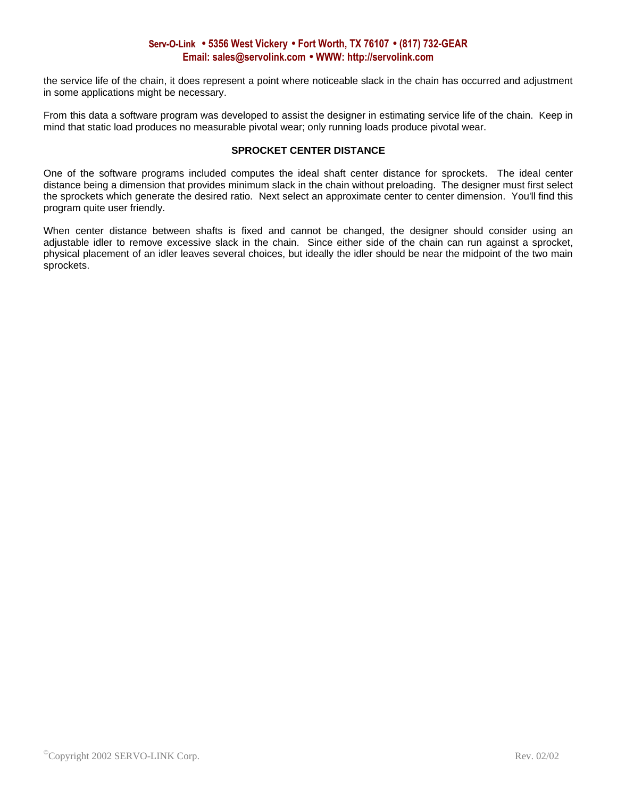# **Serv-O-Link · 5356 West Vickery · Fort Worth, TX 76107 · (817) 732-GEAR Email: sales@servolink.com · WWW: http://servolink.com**

the service life of the chain, it does represent a point where noticeable slack in the chain has occurred and adjustment in some applications might be necessary.

From this data a software program was developed to assist the designer in estimating service life of the chain. Keep in mind that static load produces no measurable pivotal wear; only running loads produce pivotal wear.

# **SPROCKET CENTER DISTANCE**

One of the software programs included computes the ideal shaft center distance for sprockets. The ideal center distance being a dimension that provides minimum slack in the chain without preloading. The designer must first select the sprockets which generate the desired ratio. Next select an approximate center to center dimension. You'll find this program quite user friendly.

When center distance between shafts is fixed and cannot be changed, the designer should consider using an adjustable idler to remove excessive slack in the chain. Since either side of the chain can run against a sprocket, physical placement of an idler leaves several choices, but ideally the idler should be near the midpoint of the two main sprockets.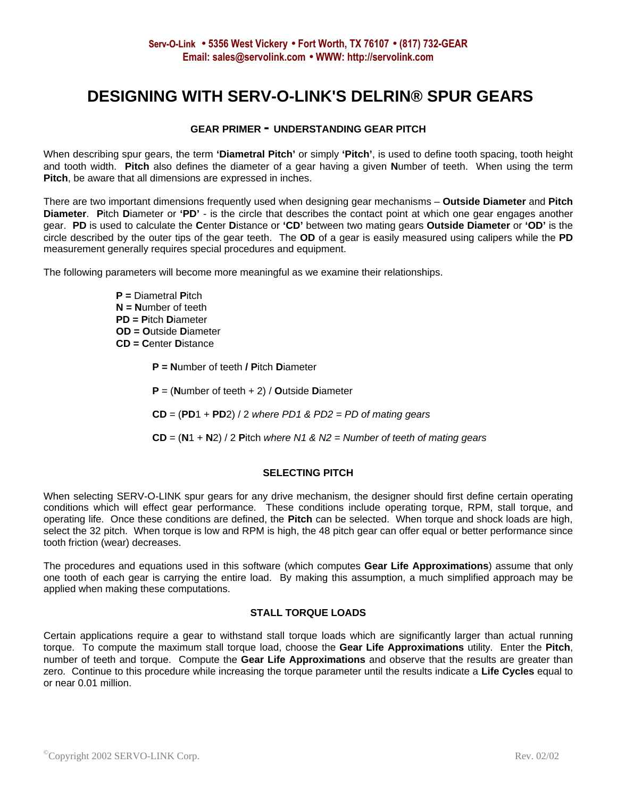# **DESIGNING WITH SERV-O-LINK'S DELRIN® SPUR GEARS**

# **GEAR PRIMER - UNDERSTANDING GEAR PITCH**

When describing spur gears, the term **'Diametral Pitch'** or simply **'Pitch'**, is used to define tooth spacing, tooth height and tooth width. **Pitch** also defines the diameter of a gear having a given **N**umber of teeth. When using the term **Pitch**, be aware that all dimensions are expressed in inches.

There are two important dimensions frequently used when designing gear mechanisms – **Outside Diameter** and **Pitch Diameter**. **P**itch **D**iameter or **'PD'** - is the circle that describes the contact point at which one gear engages another gear. **PD** is used to calculate the **C**enter **D**istance or **'CD'** between two mating gears **Outside Diameter** or **'OD'** is the circle described by the outer tips of the gear teeth. The **OD** of a gear is easily measured using calipers while the **PD** measurement generally requires special procedures and equipment.

The following parameters will become more meaningful as we examine their relationships.

**P =** Diametral **P**itch **N = N**umber of teeth **PD = P**itch **D**iameter **OD = O**utside **D**iameter **CD = C**enter **D**istance

- **P = N**umber of teeth **/ P**itch **D**iameter
- **P** = (**N**umber of teeth + 2) / **O**utside **D**iameter

**CD** = (**PD**1 + **PD**2) / 2 *where PD1 & PD2 = PD of mating gears*

**CD** = (**N**1 + **N**2) / 2 **P**itch *where N1 & N2 = Number of teeth of mating gears*

# **SELECTING PITCH**

When selecting SERV-O-LINK spur gears for any drive mechanism, the designer should first define certain operating conditions which will effect gear performance. These conditions include operating torque, RPM, stall torque, and operating life. Once these conditions are defined, the **Pitch** can be selected. When torque and shock loads are high, select the 32 pitch. When torque is low and RPM is high, the 48 pitch gear can offer equal or better performance since tooth friction (wear) decreases.

The procedures and equations used in this software (which computes **Gear Life Approximations**) assume that only one tooth of each gear is carrying the entire load. By making this assumption, a much simplified approach may be applied when making these computations.

# **STALL TORQUE LOADS**

Certain applications require a gear to withstand stall torque loads which are significantly larger than actual running torque. To compute the maximum stall torque load, choose the **Gear Life Approximations** utility. Enter the **Pitch**, number of teeth and torque. Compute the **Gear Life Approximations** and observe that the results are greater than zero. Continue to this procedure while increasing the torque parameter until the results indicate a **Life Cycles** equal to or near 0.01 million.